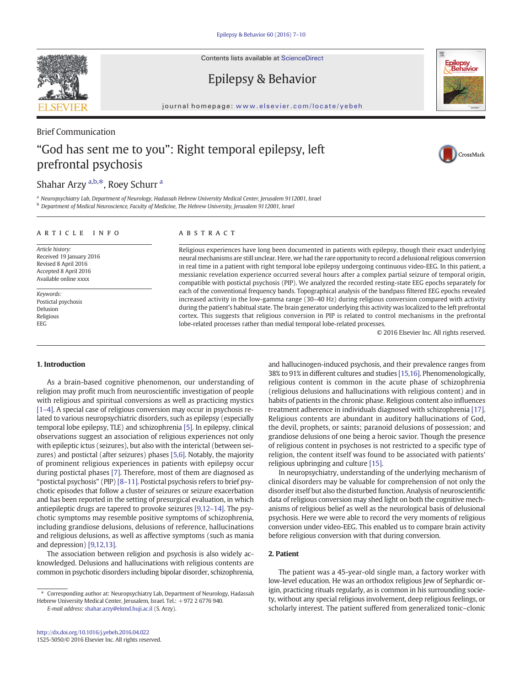Contents lists available at ScienceDirect

# Epilepsy & Behavior

journal homepage: <www.elsevier.com/locate/yebeh>

### Brief Communication

# "God has sent me to you": Right temporal epilepsy, left prefrontal psychosis

## Shahar Arzy <sup>a,b, $\ast$ </sup>, Roey Schurr <sup>a</sup>

a Neuropsychiatry Lab, Department of Neurology, Hadassah Hebrew University Medical Center, Jerusalem 9112001, Israel **b** Department of Medical Neuroscience, Faculty of Medicine, The Hebrew University, Jerusalem 9112001, Israel

#### article info abstract

Article history: Received 19 January 2016 Revised 8 April 2016 Accepted 8 April 2016 Available online xxxx

Keywords: Postictal psychosis Delusion Religious EEG

Religious experiences have long been documented in patients with epilepsy, though their exact underlying neural mechanisms are still unclear. Here, we had the rare opportunity to record a delusional religious conversion in real time in a patient with right temporal lobe epilepsy undergoing continuous video-EEG. In this patient, a messianic revelation experience occurred several hours after a complex partial seizure of temporal origin, compatible with postictal psychosis (PIP). We analyzed the recorded resting-state EEG epochs separately for each of the conventional frequency bands. Topographical analysis of the bandpass filtered EEG epochs revealed increased activity in the low-gamma range (30–40 Hz) during religious conversion compared with activity during the patient's habitual state. The brain generator underlying this activity was localized to the left prefrontal cortex. This suggests that religious conversion in PIP is related to control mechanisms in the prefrontal lobe-related processes rather than medial temporal lobe-related processes.

© 2016 Elsevier Inc. All rights reserved.

### 1. Introduction

As a brain-based cognitive phenomenon, our understanding of religion may profit much from neuroscientific investigation of people with religious and spiritual conversions as well as practicing mystics [\[1](#page-3-0)–4]. A special case of religious conversion may occur in psychosis related to various neuropsychiatric disorders, such as epilepsy (especially temporal lobe epilepsy, TLE) and schizophrenia [\[5\]](#page-3-0). In epilepsy, clinical observations suggest an association of religious experiences not only with epileptic ictus (seizures), but also with the interictal (between seizures) and postictal (after seizures) phases [\[5,6\].](#page-3-0) Notably, the majority of prominent religious experiences in patients with epilepsy occur during postictal phases [\[7\].](#page-3-0) Therefore, most of them are diagnosed as "postictal psychosis" (PIP) [8–[11\]](#page-3-0). Postictal psychosis refers to brief psychotic episodes that follow a cluster of seizures or seizure exacerbation and has been reported in the setting of presurgical evaluation, in which antiepileptic drugs are tapered to provoke seizures [\[9,12](#page-3-0)–14]. The psychotic symptoms may resemble positive symptoms of schizophrenia, including grandiose delusions, delusions of reference, hallucinations and religious delusions, as well as affective symptoms (such as mania and depression) [\[9,12,13\]](#page-3-0).

The association between religion and psychosis is also widely acknowledged. Delusions and hallucinations with religious contents are common in psychotic disorders including bipolar disorder, schizophrenia,

E-mail address: [shahar.arzy@ekmd.huji.ac.il](mailto:shahar.arzy@ekmd.huji.ac.il) (S. Arzy).

and hallucinogen-induced psychosis, and their prevalence ranges from 38% to 91% in different cultures and studies [\[15,16\].](#page-3-0) Phenomenologically, religious content is common in the acute phase of schizophrenia (religious delusions and hallucinations with religious content) and in habits of patients in the chronic phase. Religious content also influences treatment adherence in individuals diagnosed with schizophrenia [\[17\].](#page-3-0) Religious contents are abundant in auditory hallucinations of God, the devil, prophets, or saints; paranoid delusions of possession; and grandiose delusions of one being a heroic savior. Though the presence of religious content in psychoses is not restricted to a specific type of religion, the content itself was found to be associated with patients' religious upbringing and culture [\[15\].](#page-3-0)

In neuropsychiatry, understanding of the underlying mechanism of clinical disorders may be valuable for comprehension of not only the disorder itself but also the disturbed function. Analysis of neuroscientific data of religious conversion may shed light on both the cognitive mechanisms of religious belief as well as the neurological basis of delusional psychosis. Here we were able to record the very moments of religious conversion under video-EEG. This enabled us to compare brain activity before religious conversion with that during conversion.

### 2. Patient

The patient was a 45-year-old single man, a factory worker with low-level education. He was an orthodox religious Jew of Sephardic origin, practicing rituals regularly, as is common in his surrounding society, without any special religious involvement, deep religious feelings, or scholarly interest. The patient suffered from generalized tonic–clonic







<sup>⁎</sup> Corresponding author at: Neuropsychiatry Lab, Department of Neurology, Hadassah Hebrew University Medical Center, Jerusalem, Israel. Tel.: +972 2 6776 940.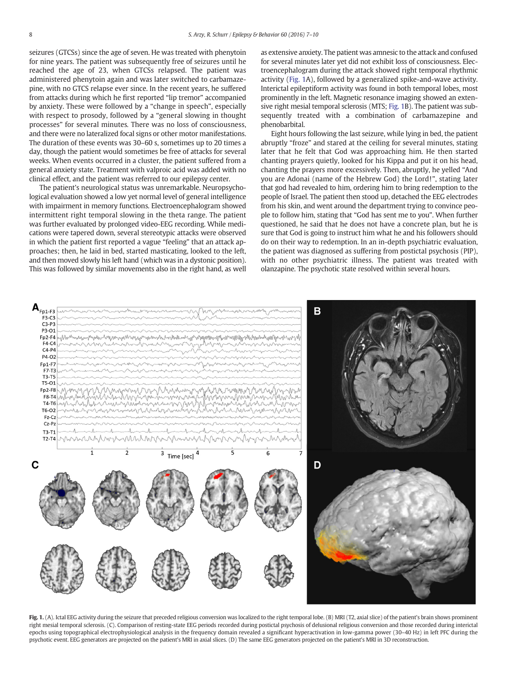<span id="page-1-0"></span>seizures (GTCSs) since the age of seven. He was treated with phenytoin for nine years. The patient was subsequently free of seizures until he reached the age of 23, when GTCSs relapsed. The patient was administered phenytoin again and was later switched to carbamazepine, with no GTCS relapse ever since. In the recent years, he suffered from attacks during which he first reported "lip tremor" accompanied by anxiety. These were followed by a "change in speech", especially with respect to prosody, followed by a "general slowing in thought processes" for several minutes. There was no loss of consciousness, and there were no lateralized focal signs or other motor manifestations. The duration of these events was 30–60 s, sometimes up to 20 times a day, though the patient would sometimes be free of attacks for several weeks. When events occurred in a cluster, the patient suffered from a general anxiety state. Treatment with valproic acid was added with no clinical effect, and the patient was referred to our epilepsy center.

The patient's neurological status was unremarkable. Neuropsychological evaluation showed a low yet normal level of general intelligence with impairment in memory functions. Electroencephalogram showed intermittent right temporal slowing in the theta range. The patient was further evaluated by prolonged video-EEG recording. While medications were tapered down, several stereotypic attacks were observed in which the patient first reported a vague "feeling" that an attack approaches; then, he laid in bed, started masticating, looked to the left, and then moved slowly his left hand (which was in a dystonic position). This was followed by similar movements also in the right hand, as well as extensive anxiety. The patient was amnesic to the attack and confused for several minutes later yet did not exhibit loss of consciousness. Electroencephalogram during the attack showed right temporal rhythmic activity (Fig. 1A), followed by a generalized spike-and-wave activity. Interictal epileptiform activity was found in both temporal lobes, most prominently in the left. Magnetic resonance imaging showed an extensive right mesial temporal sclerosis (MTS; Fig. 1B). The patient was subsequently treated with a combination of carbamazepine and phenobarbital.

Eight hours following the last seizure, while lying in bed, the patient abruptly "froze" and stared at the ceiling for several minutes, stating later that he felt that God was approaching him. He then started chanting prayers quietly, looked for his Kippa and put it on his head, chanting the prayers more excessively. Then, abruptly, he yelled "And you are Adonai (name of the Hebrew God) the Lord!", stating later that god had revealed to him, ordering him to bring redemption to the people of Israel. The patient then stood up, detached the EEG electrodes from his skin, and went around the department trying to convince people to follow him, stating that "God has sent me to you". When further questioned, he said that he does not have a concrete plan, but he is sure that God is going to instruct him what he and his followers should do on their way to redemption. In an in-depth psychiatric evaluation, the patient was diagnosed as suffering from postictal psychosis (PIP), with no other psychiatric illness. The patient was treated with olanzapine. The psychotic state resolved within several hours.



Fig. 1. (A). Ictal EEG activity during the seizure that preceded religious conversion was localized to the right temporal lobe. (B) MRI (T2, axial slice) of the patient's brain shows prominent right mesial temporal sclerosis. (C). Comparison of resting-state EEG periods recorded during postictal psychosis of delusional religious conversion and those recorded during interictal epochs using topographical electrophysiological analysis in the frequency domain revealed a significant hyperactivation in low-gamma power (30–40 Hz) in left PFC during the psychotic event. EEG generators are projected on the patient's MRI in axial slices. (D) The same EEG generators projected on the patient's MRI in 3D reconstruction.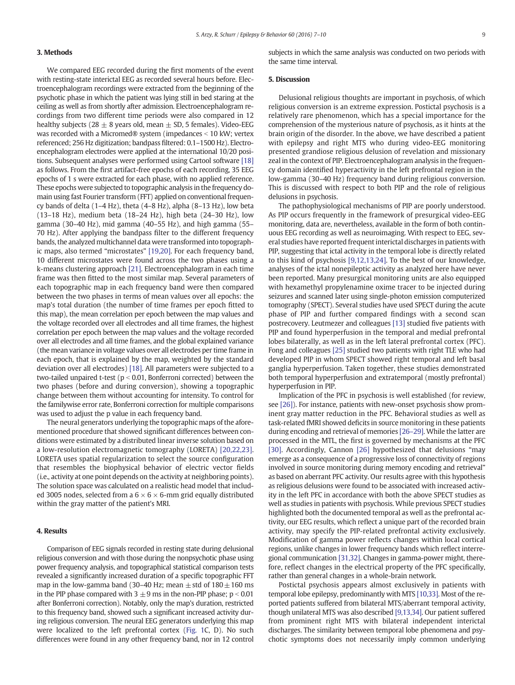### 3. Methods

We compared EEG recorded during the first moments of the event with resting-state interictal EEG as recorded several hours before. Electroencephalogram recordings were extracted from the beginning of the psychotic phase in which the patient was lying still in bed staring at the ceiling as well as from shortly after admission. Electroencephalogram recordings from two different time periods were also compared in 12 healthy subjects (28  $\pm$  8 years old, mean  $\pm$  SD, 5 females). Video-EEG was recorded with a Micromed® system (impedances  $<$  10 kW; vertex referenced; 256 Hz digitization; bandpass filtered: 0.1–1500 Hz). Electroencephalogram electrodes were applied at the international 10/20 positions. Subsequent analyses were performed using Cartool software [\[18\]](#page-3-0) as follows. From the first artifact-free epochs of each recording, 35 EEG epochs of 1 s were extracted for each phase, with no applied reference. These epochs were subjected to topographic analysis in the frequency domain using fast Fourier transform (FFT) applied on conventional frequency bands of delta (1–4 Hz), theta (4–8 Hz), alpha (8–13 Hz), low beta (13–18 Hz), medium beta (18–24 Hz), high beta (24–30 Hz), low gamma (30–40 Hz), mid gamma (40–55 Hz), and high gamma (55– 70 Hz). After applying the bandpass filter to the different frequency bands, the analyzed multichannel data were transformed into topographic maps, also termed "microstates" [\[19,20\]](#page-3-0). For each frequency band, 10 different microstates were found across the two phases using a k-means clustering approach [\[21\]](#page-3-0). Electroencephalogram in each time frame was then fitted to the most similar map. Several parameters of each topographic map in each frequency band were then compared between the two phases in terms of mean values over all epochs: the map's total duration (the number of time frames per epoch fitted to this map), the mean correlation per epoch between the map values and the voltage recorded over all electrodes and all time frames, the highest correlation per epoch between the map values and the voltage recorded over all electrodes and all time frames, and the global explained variance (the mean variance in voltage values over all electrodes per time frame in each epoch, that is explained by the map, weighted by the standard deviation over all electrodes) [\[18\]](#page-3-0). All parameters were subjected to a two-tailed unpaired t-test ( $p < 0.01$ , Bonferroni corrected) between the two phases (before and during conversion), showing a topographic change between them without accounting for intensity. To control for the familywise error rate, Bonferroni correction for multiple comparisons was used to adjust the p value in each frequency band.

The neural generators underlying the topographic maps of the aforementioned procedure that showed significant differences between conditions were estimated by a distributed linear inverse solution based on a low-resolution electromagnetic tomography (LORETA) [\[20,22,23\].](#page-3-0) LORETA uses spatial regularization to select the source configuration that resembles the biophysical behavior of electric vector fields (i.e., activity at one point depends on the activity at neighboring points). The solution space was calculated on a realistic head model that included 3005 nodes, selected from a  $6 \times 6 \times 6$ -mm grid equally distributed within the gray matter of the patient's MRI.

#### 4. Results

Comparison of EEG signals recorded in resting state during delusional religious conversion and with those during the nonpsychotic phase using power frequency analysis, and topographical statistical comparison tests revealed a significantly increased duration of a specific topographic FFT map in the low-gamma band (30–40 Hz; mean  $\pm$  std of 180  $\pm$  160 ms in the PIP phase compared with  $3 \pm 9$  ms in the non-PIP phase;  $p < 0.01$ after Bonferroni correction). Notably, only the map's duration, restricted to this frequency band, showed such a significant increased activity during religious conversion. The neural EEG generators underlying this map were localized to the left prefrontal cortex [\(Fig. 1C](#page-1-0), D). No such differences were found in any other frequency band, nor in 12 control subjects in which the same analysis was conducted on two periods with the same time interval.

#### 5. Discussion

Delusional religious thoughts are important in psychosis, of which religious conversion is an extreme expression. Postictal psychosis is a relatively rare phenomenon, which has a special importance for the comprehension of the mysterious nature of psychosis, as it hints at the brain origin of the disorder. In the above, we have described a patient with epilepsy and right MTS who during video-EEG monitoring presented grandiose religious delusion of revelation and missionary zeal in the context of PIP. Electroencephalogram analysis in the frequency domain identified hyperactivity in the left prefrontal region in the low-gamma (30–40 Hz) frequency band during religious conversion. This is discussed with respect to both PIP and the role of religious delusions in psychosis.

The pathophysiological mechanisms of PIP are poorly understood. As PIP occurs frequently in the framework of presurgical video-EEG monitoring, data are, nevertheless, available in the form of both continuous EEG recording as well as neuroimaging. With respect to EEG, several studies have reported frequent interictal discharges in patients with PIP, suggesting that ictal activity in the temporal lobe is directly related to this kind of psychosis [\[9,12,13,24\].](#page-3-0) To the best of our knowledge, analyses of the ictal nonepileptic activity as analyzed here have never been reported. Many presurgical monitoring units are also equipped with hexamethyl propylenamine oxime tracer to be injected during seizures and scanned later using single-photon emission computerized tomography (SPECT). Several studies have used SPECT during the acute phase of PIP and further compared findings with a second scan postrecovery. Leutmezer and colleagues [\[13\]](#page-3-0) studied five patients with PIP and found hyperperfusion in the temporal and medial prefrontal lobes bilaterally, as well as in the left lateral prefrontal cortex (PFC). Fong and colleagues [\[25\]](#page-3-0) studied two patients with right TLE who had developed PIP in whom SPECT showed right temporal and left basal ganglia hyperperfusion. Taken together, these studies demonstrated both temporal hyperperfusion and extratemporal (mostly prefrontal) hyperperfusion in PIP.

Implication of the PFC in psychosis is well established (for review, see [\[26\]](#page-3-0)). For instance, patients with new-onset psychosis show prominent gray matter reduction in the PFC. Behavioral studies as well as task-related fMRI showed deficits in source monitoring in these patients during encoding and retrieval of memories [\[26](#page-3-0)–29]. While the latter are processed in the MTL, the first is governed by mechanisms at the PFC [\[30\]](#page-3-0). Accordingly, Cannon [\[26\]](#page-3-0) hypothesized that delusions "may emerge as a consequence of a progressive loss of connectivity of regions involved in source monitoring during memory encoding and retrieval" as based on aberrant PFC activity. Our results agree with this hypothesis as religious delusions were found to be associated with increased activity in the left PFC in accordance with both the above SPECT studies as well as studies in patients with psychosis. While previous SPECT studies highlighted both the documented temporal as well as the prefrontal activity, our EEG results, which reflect a unique part of the recorded brain activity, may specify the PIP-related prefrontal activity exclusively. Modification of gamma power reflects changes within local cortical regions, unlike changes in lower frequency bands which reflect interregional communication [\[31,32\].](#page-3-0) Changes in gamma-power might, therefore, reflect changes in the electrical property of the PFC specifically, rather than general changes in a whole-brain network.

Postictal psychosis appears almost exclusively in patients with temporal lobe epilepsy, predominantly with MTS [\[10,33\].](#page-3-0) Most of the reported patients suffered from bilateral MTS/aberrant temporal activity, though unilateral MTS was also described [\[9,13,34\].](#page-3-0) Our patient suffered from prominent right MTS with bilateral independent interictal discharges. The similarity between temporal lobe phenomena and psychotic symptoms does not necessarily imply common underlying